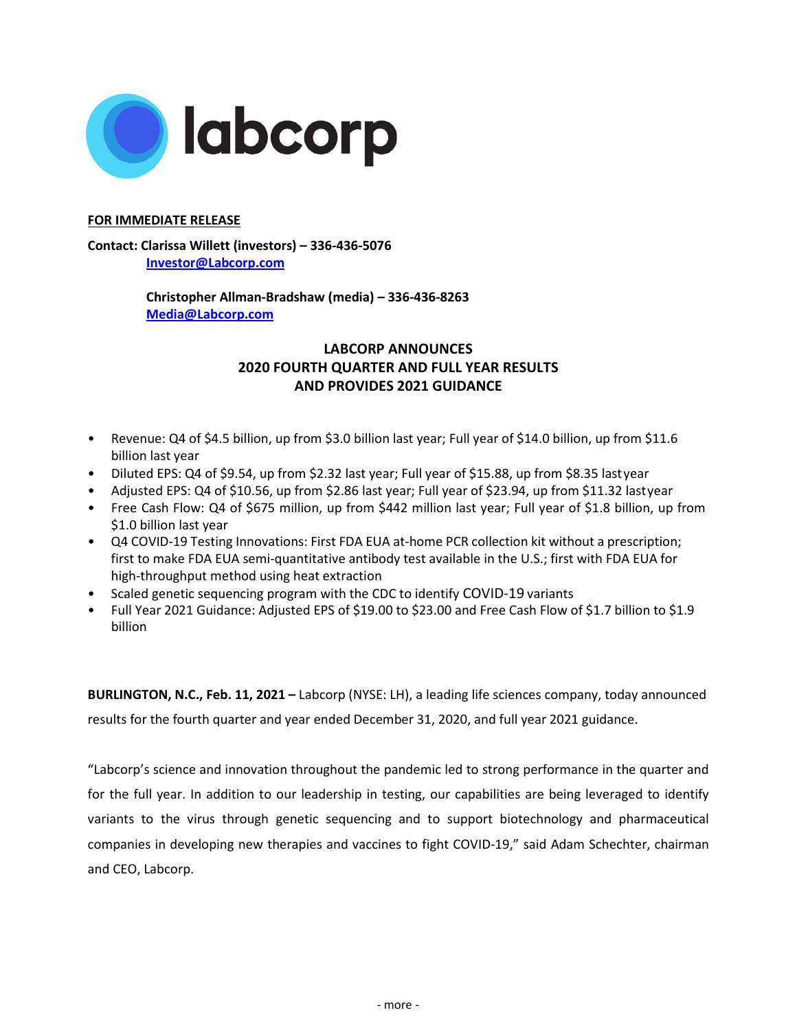

## **FOR IMMEDIATE RELEASE**

**Contact: Clarissa Willett (investors) – 336-436-5076 [Investor@Labcorp.com](mailto:Investor@Labcorp.com)**

> **Christopher Allman-Bradshaw (media) – 336-436-8263 [Media@Labcorp.com](mailto:Media@Labcorp.com)**

# **LABCORP ANNOUNCES 2020 FOURTH QUARTER AND FULL YEAR RESULTS AND PROVIDES 2021 GUIDANCE**

- Revenue: Q4 of \$4.5 billion, up from \$3.0 billion last year; Full year of \$14.0 billion, up from \$11.6 billion last year
- Diluted EPS: Q4 of \$9.54, up from \$2.32 last year; Full year of \$15.88, up from \$8.35 lastyear
- Adjusted EPS: Q4 of \$10.56, up from \$2.86 last year; Full year of \$23.94, up from \$11.32 lastyear
- Free Cash Flow: Q4 of \$675 million, up from \$442 million last year; Full year of \$1.8 billion, up from \$1.0 billion last year
- Q4 COVID-19 Testing Innovations: First FDA EUA at-home PCR collection kit without a prescription; first to make FDA EUA semi-quantitative antibody test available in the U.S.; first with FDA EUA for high-throughput method using heat extraction
- Scaled genetic sequencing program with the CDC to identify COVID-19 variants
- Full Year 2021 Guidance: Adjusted EPS of \$19.00 to \$23.00 and Free Cash Flow of \$1.7 billion to \$1.9 billion

**BURLINGTON, N.C., Feb. 11, 2021 –** Labcorp (NYSE: LH), a leading life sciences company, today announced results for the fourth quarter and year ended December 31, 2020, and full year 2021 guidance.

"Labcorp's science and innovation throughout the pandemic led to strong performance in the quarter and for the full year. In addition to our leadership in testing, our capabilities are being leveraged to identify variants to the virus through genetic sequencing and to support biotechnology and pharmaceutical companies in developing new therapies and vaccines to fight COVID-19," said Adam Schechter, chairman and CEO, Labcorp.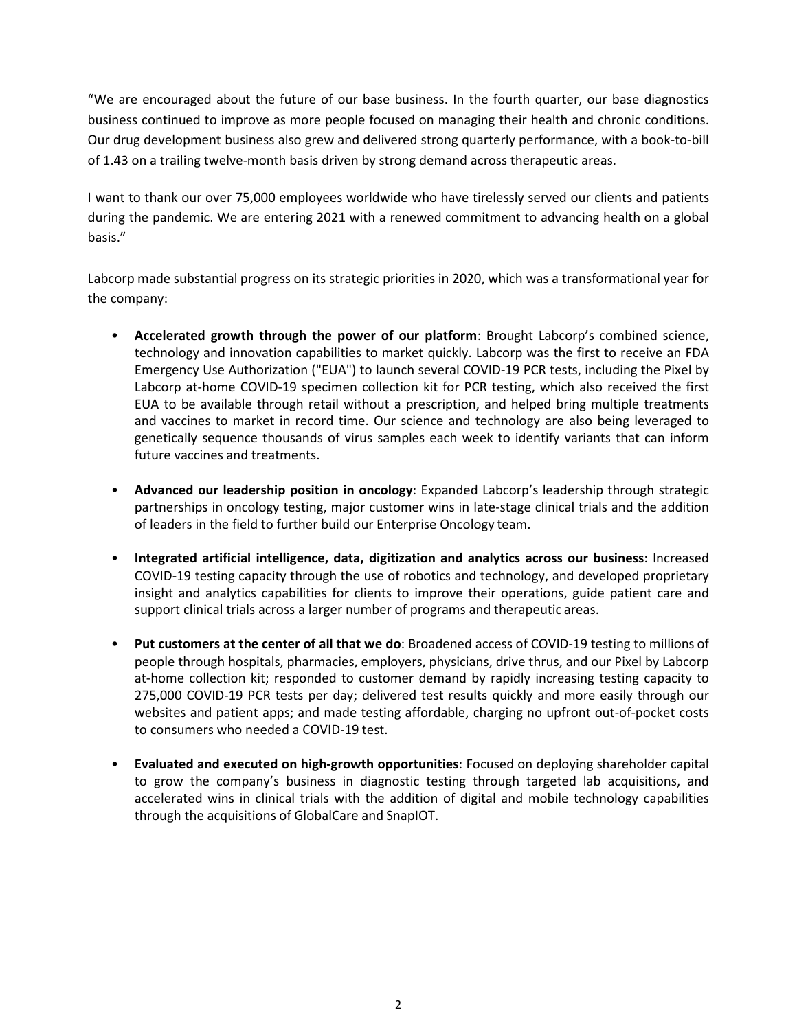"We are encouraged about the future of our base business. In the fourth quarter, our base diagnostics business continued to improve as more people focused on managing their health and chronic conditions. Our drug development business also grew and delivered strong quarterly performance, with a book-to-bill of 1.43 on a trailing twelve-month basis driven by strong demand across therapeutic areas.

I want to thank our over 75,000 employees worldwide who have tirelessly served our clients and patients during the pandemic. We are entering 2021 with a renewed commitment to advancing health on a global basis."

Labcorp made substantial progress on its strategic priorities in 2020, which was a transformational year for the company:

- **Accelerated growth through the power of our platform**: Brought Labcorp's combined science, technology and innovation capabilities to market quickly. Labcorp was the first to receive an FDA Emergency Use Authorization ("EUA") to launch several COVID-19 PCR tests, including the Pixel by Labcorp at-home COVID-19 specimen collection kit for PCR testing, which also received the first EUA to be available through retail without a prescription, and helped bring multiple treatments and vaccines to market in record time. Our science and technology are also being leveraged to genetically sequence thousands of virus samples each week to identify variants that can inform future vaccines and treatments.
- **Advanced our leadership position in oncology**: Expanded Labcorp's leadership through strategic partnerships in oncology testing, major customer wins in late-stage clinical trials and the addition of leaders in the field to further build our Enterprise Oncology team.
- **Integrated artificial intelligence, data, digitization and analytics across our business**: Increased COVID-19 testing capacity through the use of robotics and technology, and developed proprietary insight and analytics capabilities for clients to improve their operations, guide patient care and support clinical trials across a larger number of programs and therapeutic areas.
- **Put customers at the center of all that we do**: Broadened access of COVID-19 testing to millions of people through hospitals, pharmacies, employers, physicians, drive thrus, and our Pixel by Labcorp at-home collection kit; responded to customer demand by rapidly increasing testing capacity to 275,000 COVID-19 PCR tests per day; delivered test results quickly and more easily through our websites and patient apps; and made testing affordable, charging no upfront out-of-pocket costs to consumers who needed a COVID-19 test.
- **Evaluated and executed on high-growth opportunities**: Focused on deploying shareholder capital to grow the company's business in diagnostic testing through targeted lab acquisitions, and accelerated wins in clinical trials with the addition of digital and mobile technology capabilities through the acquisitions of GlobalCare and SnapIOT.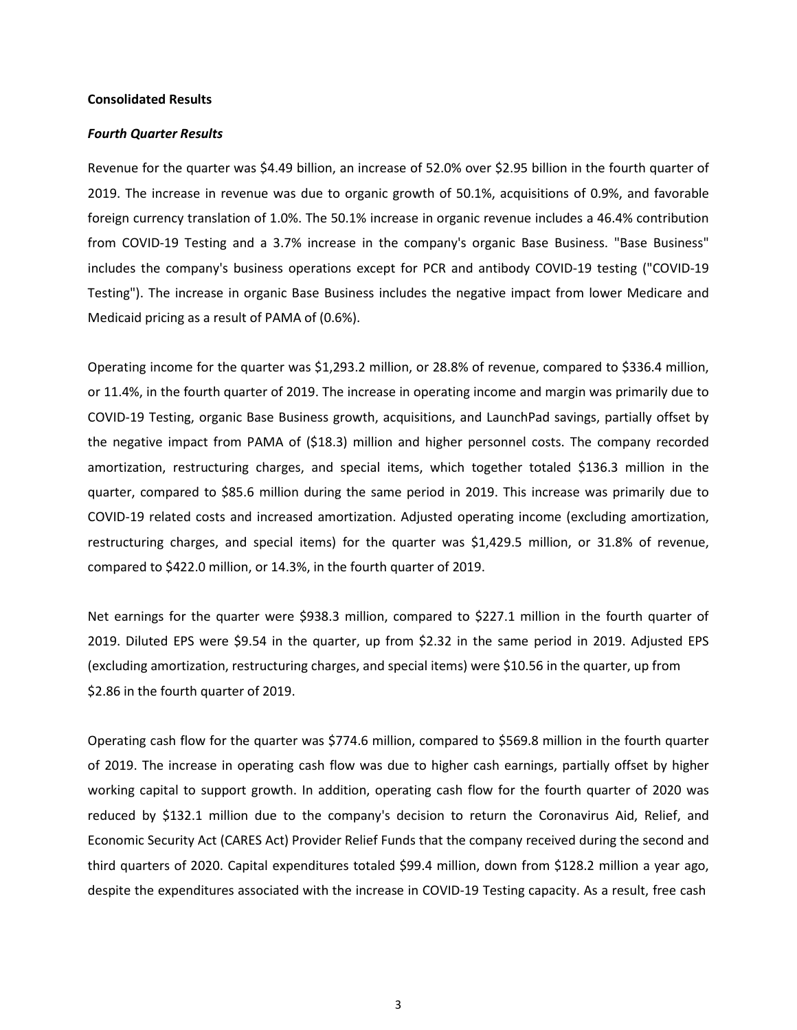### **Consolidated Results**

#### *Fourth Quarter Results*

Revenue for the quarter was \$4.49 billion, an increase of 52.0% over \$2.95 billion in the fourth quarter of 2019. The increase in revenue was due to organic growth of 50.1%, acquisitions of 0.9%, and favorable foreign currency translation of 1.0%. The 50.1% increase in organic revenue includes a 46.4% contribution from COVID-19 Testing and a 3.7% increase in the company's organic Base Business. "Base Business" includes the company's business operations except for PCR and antibody COVID-19 testing ("COVID-19 Testing"). The increase in organic Base Business includes the negative impact from lower Medicare and Medicaid pricing as a result of PAMA of (0.6%).

Operating income for the quarter was \$1,293.2 million, or 28.8% of revenue, compared to \$336.4 million, or 11.4%, in the fourth quarter of 2019. The increase in operating income and margin was primarily due to COVID-19 Testing, organic Base Business growth, acquisitions, and LaunchPad savings, partially offset by the negative impact from PAMA of (\$18.3) million and higher personnel costs. The company recorded amortization, restructuring charges, and special items, which together totaled \$136.3 million in the quarter, compared to \$85.6 million during the same period in 2019. This increase was primarily due to COVID-19 related costs and increased amortization. Adjusted operating income (excluding amortization, restructuring charges, and special items) for the quarter was \$1,429.5 million, or 31.8% of revenue, compared to \$422.0 million, or 14.3%, in the fourth quarter of 2019.

Net earnings for the quarter were \$938.3 million, compared to \$227.1 million in the fourth quarter of 2019. Diluted EPS were \$9.54 in the quarter, up from \$2.32 in the same period in 2019. Adjusted EPS (excluding amortization, restructuring charges, and special items) were \$10.56 in the quarter, up from \$2.86 in the fourth quarter of 2019.

Operating cash flow for the quarter was \$774.6 million, compared to \$569.8 million in the fourth quarter of 2019. The increase in operating cash flow was due to higher cash earnings, partially offset by higher working capital to support growth. In addition, operating cash flow for the fourth quarter of 2020 was reduced by \$132.1 million due to the company's decision to return the Coronavirus Aid, Relief, and Economic Security Act (CARES Act) Provider Relief Funds that the company received during the second and third quarters of 2020. Capital expenditures totaled \$99.4 million, down from \$128.2 million a year ago, despite the expenditures associated with the increase in COVID-19 Testing capacity. As a result, free cash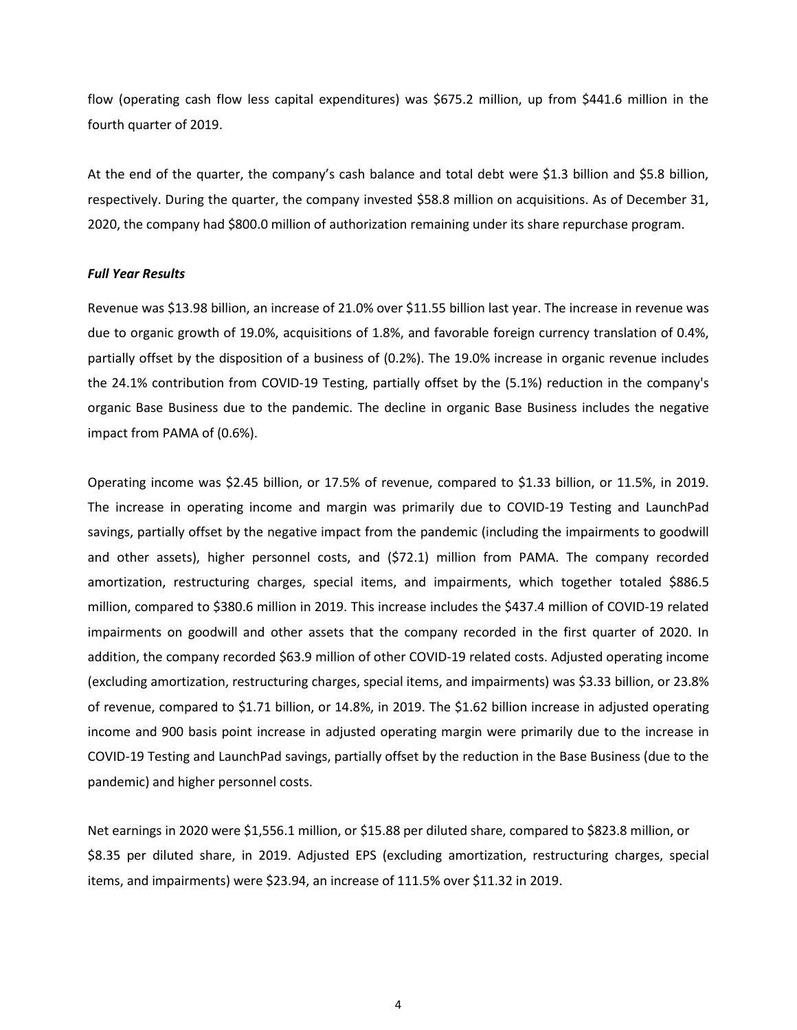flow (operating cash flow less capital expenditures) was \$675.2 million, up from \$441.6 million in the fourth quarter of 2019.

At the end of the quarter, the company's cash balance and total debt were \$1.3 billion and \$5.8 billion, respectively. During the quarter, the company invested \$58.8 million on acquisitions. As of December 31, 2020, the company had \$800.0 million of authorization remaining under its share repurchase program.

### *Full Year Results*

Revenue was \$13.98 billion, an increase of 21.0% over \$11.55 billion last year. The increase in revenue was due to organic growth of 19.0%, acquisitions of 1.8%, and favorable foreign currency translation of 0.4%, partially offset by the disposition of a business of (0.2%). The 19.0% increase in organic revenue includes the 24.1% contribution from COVID-19 Testing, partially offset by the (5.1%) reduction in the company's organic Base Business due to the pandemic. The decline in organic Base Business includes the negative impact from PAMA of (0.6%).

Operating income was \$2.45 billion, or 17.5% of revenue, compared to \$1.33 billion, or 11.5%, in 2019. The increase in operating income and margin was primarily due to COVID-19 Testing and LaunchPad savings, partially offset by the negative impact from the pandemic (including the impairments to goodwill and other assets), higher personnel costs, and (\$72.1) million from PAMA. The company recorded amortization, restructuring charges, special items, and impairments, which together totaled \$886.5 million, compared to \$380.6 million in 2019. This increase includes the \$437.4 million of COVID-19 related impairments on goodwill and other assets that the company recorded in the first quarter of 2020. In addition, the company recorded \$63.9 million of other COVID-19 related costs. Adjusted operating income (excluding amortization, restructuring charges, special items, and impairments) was \$3.33 billion, or 23.8% of revenue, compared to \$1.71 billion, or 14.8%, in 2019. The \$1.62 billion increase in adjusted operating income and 900 basis point increase in adjusted operating margin were primarily due to the increase in COVID-19 Testing and LaunchPad savings, partially offset by the reduction in the Base Business (due to the pandemic) and higher personnel costs.

Net earnings in 2020 were \$1,556.1 million, or \$15.88 per diluted share, compared to \$823.8 million, or \$8.35 per diluted share, in 2019. Adjusted EPS (excluding amortization, restructuring charges, special items, and impairments) were \$23.94, an increase of 111.5% over \$11.32 in 2019.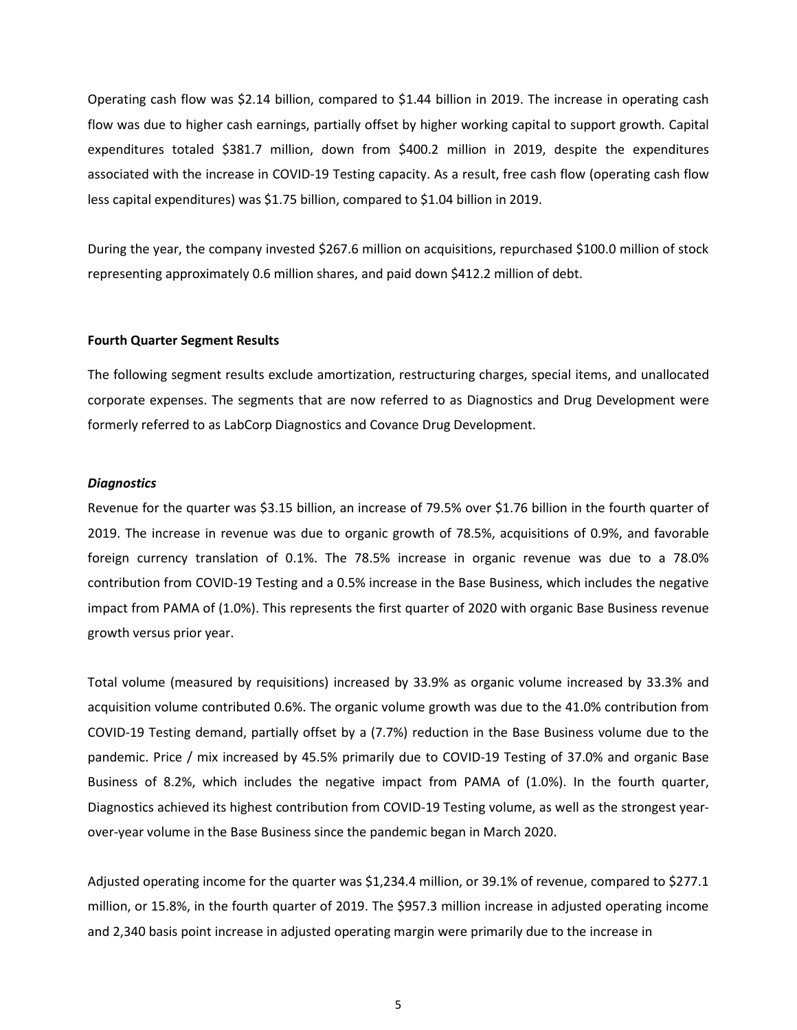Operating cash flow was \$2.14 billion, compared to \$1.44 billion in 2019. The increase in operating cash flow was due to higher cash earnings, partially offset by higher working capital to support growth. Capital expenditures totaled \$381.7 million, down from \$400.2 million in 2019, despite the expenditures associated with the increase in COVID-19 Testing capacity. As a result, free cash flow (operating cash flow less capital expenditures) was \$1.75 billion, compared to \$1.04 billion in 2019.

During the year, the company invested \$267.6 million on acquisitions, repurchased \$100.0 million of stock representing approximately 0.6 million shares, and paid down \$412.2 million of debt.

#### **Fourth Quarter Segment Results**

The following segment results exclude amortization, restructuring charges, special items, and unallocated corporate expenses. The segments that are now referred to as Diagnostics and Drug Development were formerly referred to as LabCorp Diagnostics and Covance Drug Development.

#### *Diagnostics*

Revenue for the quarter was \$3.15 billion, an increase of 79.5% over \$1.76 billion in the fourth quarter of 2019. The increase in revenue was due to organic growth of 78.5%, acquisitions of 0.9%, and favorable foreign currency translation of 0.1%. The 78.5% increase in organic revenue was due to a 78.0% contribution from COVID-19 Testing and a 0.5% increase in the Base Business, which includes the negative impact from PAMA of (1.0%). This represents the first quarter of 2020 with organic Base Business revenue growth versus prior year.

Total volume (measured by requisitions) increased by 33.9% as organic volume increased by 33.3% and acquisition volume contributed 0.6%. The organic volume growth was due to the 41.0% contribution from COVID-19 Testing demand, partially offset by a (7.7%) reduction in the Base Business volume due to the pandemic. Price / mix increased by 45.5% primarily due to COVID-19 Testing of 37.0% and organic Base Business of 8.2%, which includes the negative impact from PAMA of (1.0%). In the fourth quarter, Diagnostics achieved its highest contribution from COVID-19 Testing volume, as well as the strongest yearover-year volume in the Base Business since the pandemic began in March 2020.

Adjusted operating income for the quarter was \$1,234.4 million, or 39.1% of revenue, compared to \$277.1 million, or 15.8%, in the fourth quarter of 2019. The \$957.3 million increase in adjusted operating income and 2,340 basis point increase in adjusted operating margin were primarily due to the increase in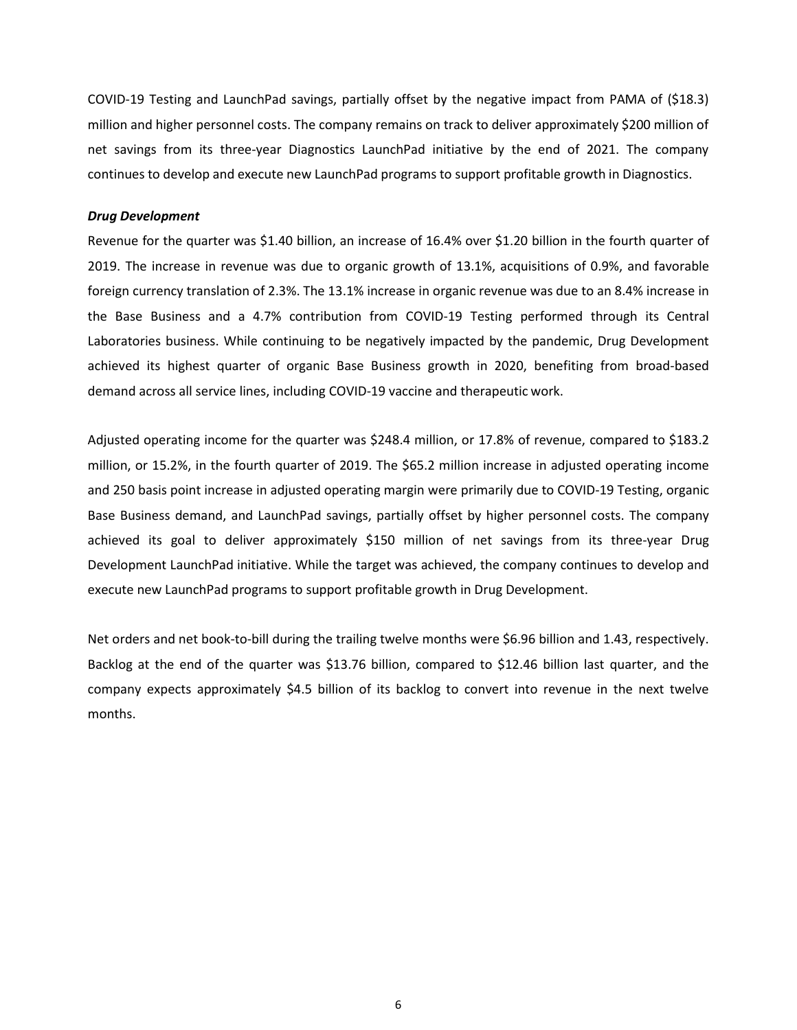COVID-19 Testing and LaunchPad savings, partially offset by the negative impact from PAMA of (\$18.3) million and higher personnel costs. The company remains on track to deliver approximately \$200 million of net savings from its three-year Diagnostics LaunchPad initiative by the end of 2021. The company continues to develop and execute new LaunchPad programs to support profitable growth in Diagnostics.

### *Drug Development*

Revenue for the quarter was \$1.40 billion, an increase of 16.4% over \$1.20 billion in the fourth quarter of 2019. The increase in revenue was due to organic growth of 13.1%, acquisitions of 0.9%, and favorable foreign currency translation of 2.3%. The 13.1% increase in organic revenue was due to an 8.4% increase in the Base Business and a 4.7% contribution from COVID-19 Testing performed through its Central Laboratories business. While continuing to be negatively impacted by the pandemic, Drug Development achieved its highest quarter of organic Base Business growth in 2020, benefiting from broad-based demand across all service lines, including COVID-19 vaccine and therapeutic work.

Adjusted operating income for the quarter was \$248.4 million, or 17.8% of revenue, compared to \$183.2 million, or 15.2%, in the fourth quarter of 2019. The \$65.2 million increase in adjusted operating income and 250 basis point increase in adjusted operating margin were primarily due to COVID-19 Testing, organic Base Business demand, and LaunchPad savings, partially offset by higher personnel costs. The company achieved its goal to deliver approximately \$150 million of net savings from its three-year Drug Development LaunchPad initiative. While the target was achieved, the company continues to develop and execute new LaunchPad programs to support profitable growth in Drug Development.

Net orders and net book-to-bill during the trailing twelve months were \$6.96 billion and 1.43, respectively. Backlog at the end of the quarter was \$13.76 billion, compared to \$12.46 billion last quarter, and the company expects approximately \$4.5 billion of its backlog to convert into revenue in the next twelve months.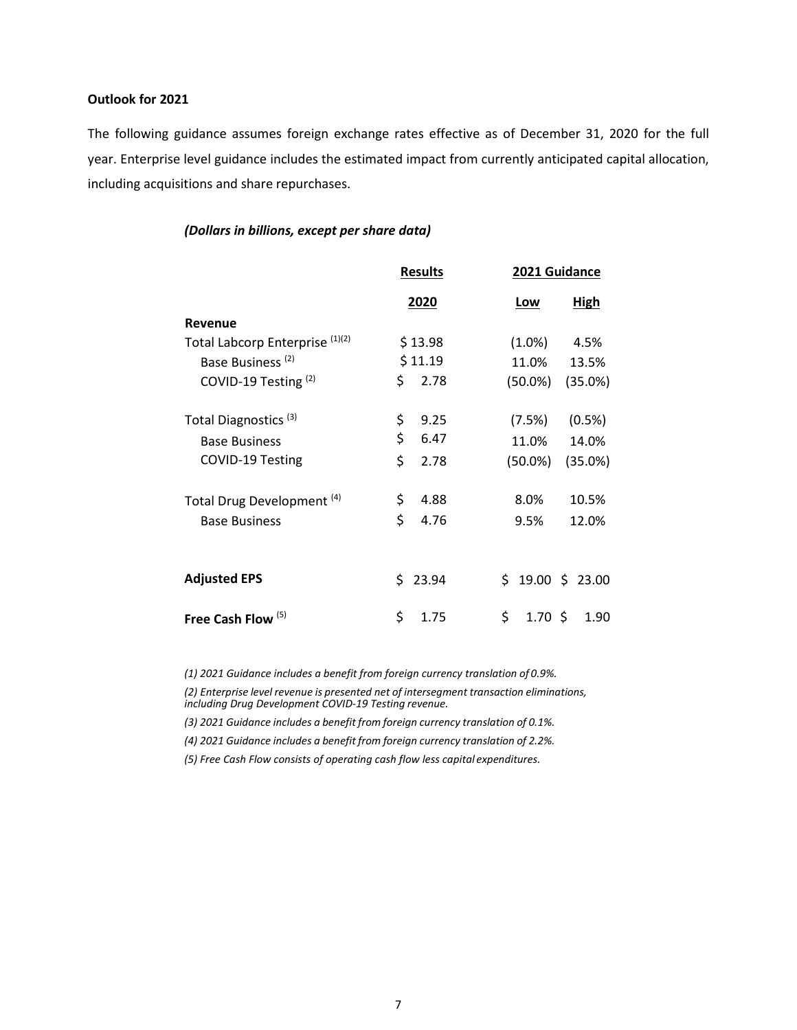## **Outlook for 2021**

The following guidance assumes foreign exchange rates effective as of December 31, 2020 for the full year. Enterprise level guidance includes the estimated impact from currently anticipated capital allocation, including acquisitions and share repurchases.

## *(Dollars in billions, except per share data)*

| <b>Results</b>                        |              |  | 2021 Guidance |                  |       |             |  |  |
|---------------------------------------|--------------|--|---------------|------------------|-------|-------------|--|--|
|                                       | 2020         |  | Low           |                  |       | <b>High</b> |  |  |
| Revenue                               |              |  |               |                  |       |             |  |  |
| Total Labcorp Enterprise (1)(2)       | \$13.98      |  |               | $(1.0\%)$        |       | 4.5%        |  |  |
| Base Business <sup>(2)</sup>          | \$11.19      |  |               | 11.0%            | 13.5% |             |  |  |
| COVID-19 Testing <sup>(2)</sup>       | \$<br>2.78   |  |               | $(50.0\%)$       |       | (35.0%)     |  |  |
| Total Diagnostics <sup>(3)</sup>      | \$<br>9.25   |  |               | (7.5%)           |       | $(0.5\%)$   |  |  |
| <b>Base Business</b>                  | \$<br>6.47   |  |               | 11.0%            |       | 14.0%       |  |  |
| COVID-19 Testing                      | \$<br>2.78   |  |               | (50.0%)          |       | (35.0%)     |  |  |
| Total Drug Development <sup>(4)</sup> | \$<br>4.88   |  |               | 8.0%             |       | 10.5%       |  |  |
| <b>Base Business</b>                  | \$<br>4.76   |  |               | 9.5%             |       | 12.0%       |  |  |
|                                       |              |  |               |                  |       |             |  |  |
| <b>Adjusted EPS</b>                   | \$.<br>23.94 |  |               | $$19.00 \$23.00$ |       |             |  |  |
| Free Cash Flow <sup>(5)</sup>         | \$<br>1.75   |  | \$            | $1.70 \;$ \$     |       | 1.90        |  |  |

*(1) 2021 Guidance includes a benefit from foreign currency translation of 0.9%.*

*(2) Enterprise level revenue is presented net of intersegment transaction eliminations, including Drug Development COVID-19 Testing revenue.*

*(3) 2021 Guidance includes a benefit from foreign currency translation of 0.1%.*

*(4) 2021 Guidance includes a benefit from foreign currency translation of 2.2%.*

*(5) Free Cash Flow consists of operating cash flow less capital expenditures.*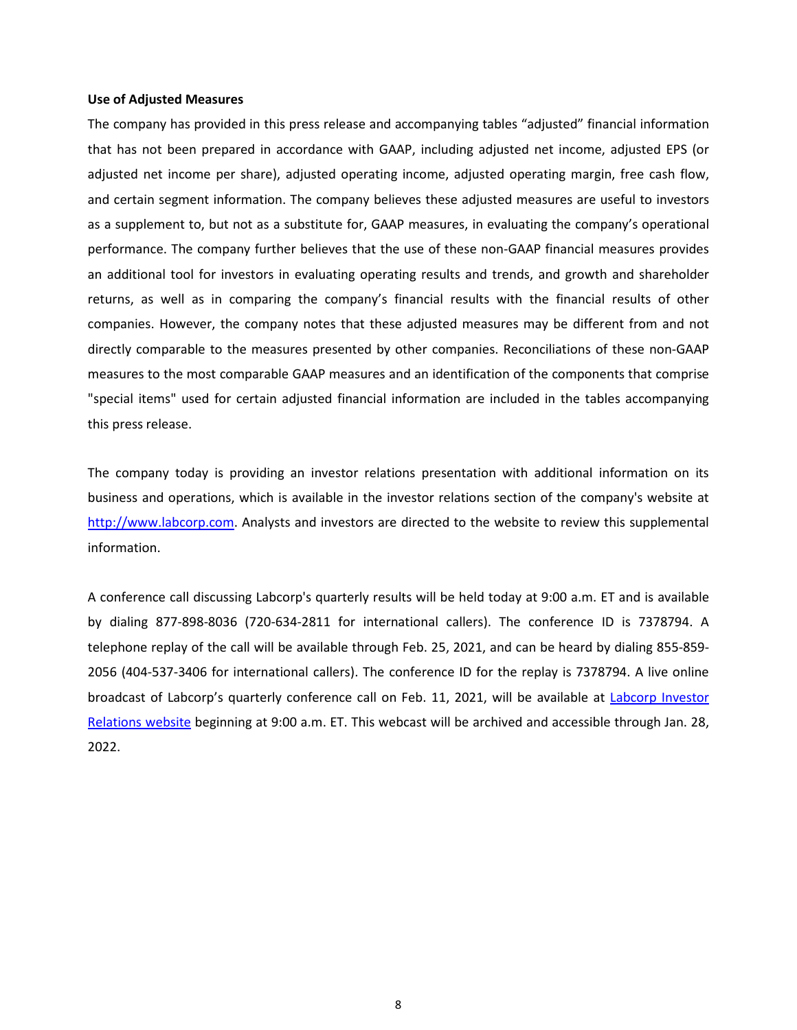### **Use of Adjusted Measures**

The company has provided in this press release and accompanying tables "adjusted" financial information that has not been prepared in accordance with GAAP, including adjusted net income, adjusted EPS (or adjusted net income per share), adjusted operating income, adjusted operating margin, free cash flow, and certain segment information. The company believes these adjusted measures are useful to investors as a supplement to, but not as a substitute for, GAAP measures, in evaluating the company's operational performance. The company further believes that the use of these non-GAAP financial measures provides an additional tool for investors in evaluating operating results and trends, and growth and shareholder returns, as well as in comparing the company's financial results with the financial results of other companies. However, the company notes that these adjusted measures may be different from and not directly comparable to the measures presented by other companies. Reconciliations of these non-GAAP measures to the most comparable GAAP measures and an identification of the components that comprise "special items" used for certain adjusted financial information are included in the tables accompanying this press release.

The company today is providing an investor relations presentation with additional information on its business and operations, which is available in the investor relations section of the company's website at [http://www.labcorp.com. A](https://www.labcorp.com/)nalysts and investors are directed to the website to review this supplemental information.

A conference call discussing Labcorp's quarterly results will be held today at 9:00 a.m. ET and is available by dialing 877-898-8036 (720-634-2811 for international callers). The conference ID is 7378794. A telephone replay of the call will be available through Feb. 25, 2021, and can be heard by dialing 855-859- 2056 (404-537-3406 for international callers). The conference ID for the replay is 7378794. A live online broadcast of Labcorp's quarterly conference call on Feb. 11, 2021, will be available at Labcorp [Investor](https://ir.labcorp.com/)  [Relations website](https://ir.labcorp.com/) beginning at 9:00 a.m. ET. This webcast will be archived and accessible through Jan. 28, 2022.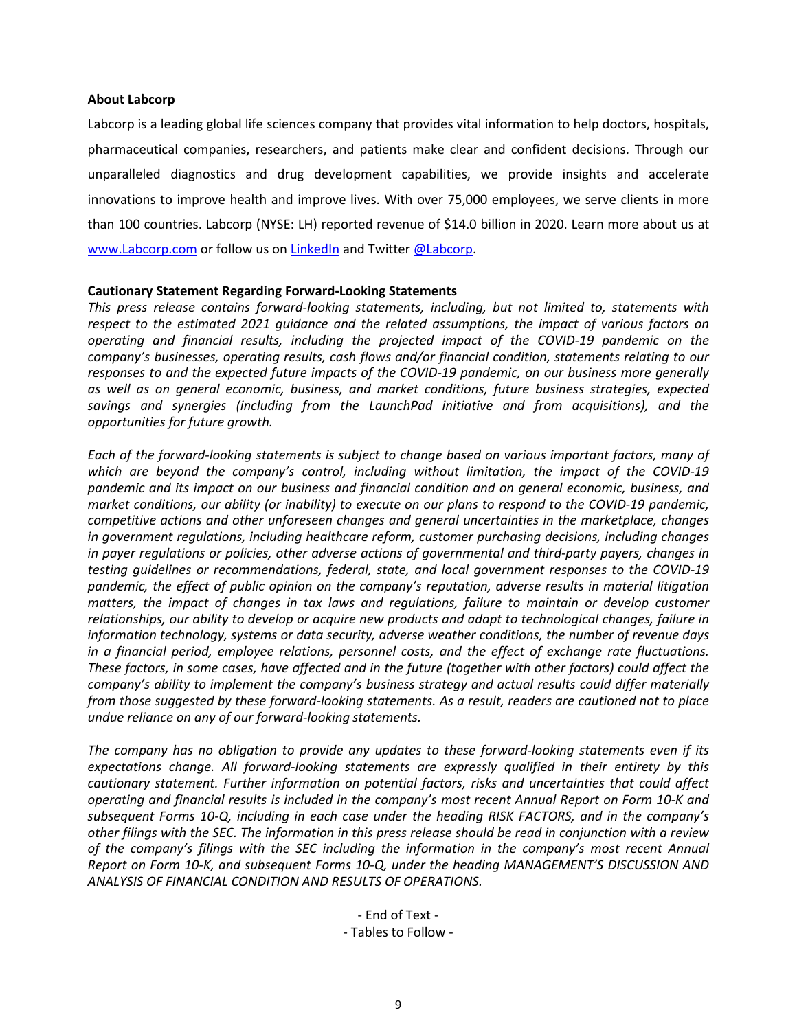### **About Labcorp**

Labcorp is a leading global life sciences company that provides vital information to help doctors, hospitals, pharmaceutical companies, researchers, and patients make clear and confident decisions. Through our unparalleled diagnostics and drug development capabilities, we provide insights and accelerate innovations to improve health and improve lives. With over 75,000 employees, we serve clients in more than 100 countries. Labcorp (NYSE: LH) reported revenue of \$14.0 billion in 2020. Learn more about us at [www.Labcorp.com](https://www.labcorp.com/) or follow us on [LinkedIn](https://www.linkedin.com/company/labcorp/) and Twitte[r @Labcorp.](https://twitter.com/LabCorp)

### **Cautionary Statement Regarding Forward-Looking Statements**

*This press release contains forward-looking statements, including, but not limited to, statements with respect to the estimated 2021 guidance and the related assumptions, the impact of various factors on operating and financial results, including the projected impact of the COVID-19 pandemic on the company's businesses, operating results, cash flows and/or financial condition, statements relating to our responses to and the expected future impacts of the COVID-19 pandemic, on our business more generally as well as on general economic, business, and market conditions, future business strategies, expected savings and synergies (including from the LaunchPad initiative and from acquisitions), and the opportunities for future growth.*

*Each of the forward-looking statements is subject to change based on various important factors, many of which are beyond the company's control, including without limitation, the impact of the COVID-19 pandemic and its impact on our business and financial condition and on general economic, business, and market conditions, our ability (or inability) to execute on our plans to respond to the COVID-19 pandemic, competitive actions and other unforeseen changes and general uncertainties in the marketplace, changes in government regulations, including healthcare reform, customer purchasing decisions, including changes in payer regulations or policies, other adverse actions of governmental and third-party payers, changes in testing guidelines or recommendations, federal, state, and local government responses to the COVID-19 pandemic, the effect of public opinion on the company's reputation, adverse results in material litigation matters, the impact of changes in tax laws and regulations, failure to maintain or develop customer relationships, our ability to develop or acquire new products and adapt to technological changes, failure in information technology, systems or data security, adverse weather conditions, the number of revenue days in a financial period, employee relations, personnel costs, and the effect of exchange rate fluctuations. These factors, in some cases, have affected and in the future (together with other factors) could affect the company's ability to implement the company's business strategy and actual results could differ materially from those suggested by these forward-looking statements. As a result, readers are cautioned not to place undue reliance on any of our forward-looking statements.*

*The company has no obligation to provide any updates to these forward-looking statements even if its expectations change. All forward-looking statements are expressly qualified in their entirety by this cautionary statement. Further information on potential factors, risks and uncertainties that could affect operating and financial results is included in the company's most recent Annual Report on Form 10-K and subsequent Forms 10-Q, including in each case under the heading RISK FACTORS, and in the company's other filings with the SEC. The information in this press release should be read in conjunction with a review of the company's filings with the SEC including the information in the company's most recent Annual Report on Form 10-K, and subsequent Forms 10-Q, under the heading MANAGEMENT'S DISCUSSION AND ANALYSIS OF FINANCIAL CONDITION AND RESULTS OF OPERATIONS.*

> - End of Text - - Tables to Follow -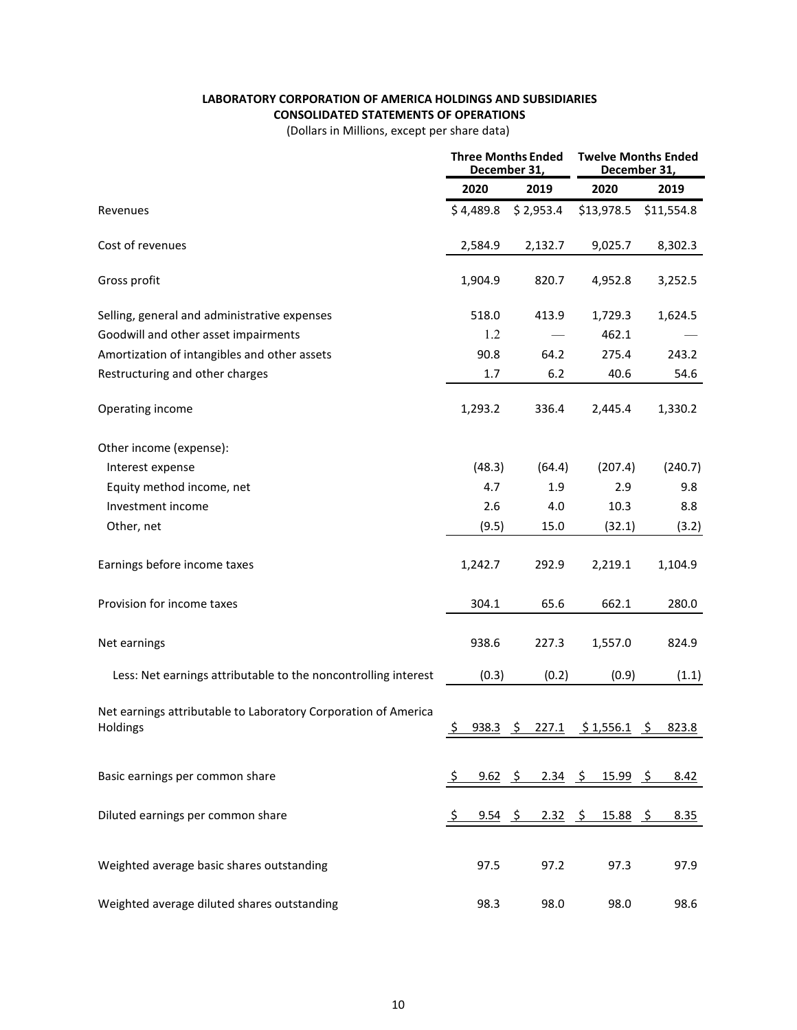## **LABORATORY CORPORATION OF AMERICA HOLDINGS AND SUBSIDIARIES CONSOLIDATED STATEMENTS OF OPERATIONS**

(Dollars in Millions, except per share data)

|                                                                            | <b>Three Months Ended</b><br>December 31, |                    | <b>Twelve Months Ended</b><br>December 31, |             |  |  |
|----------------------------------------------------------------------------|-------------------------------------------|--------------------|--------------------------------------------|-------------|--|--|
|                                                                            | 2020                                      | 2019               | 2020                                       | 2019        |  |  |
| Revenues                                                                   | \$4,489.8                                 | \$2,953.4          | \$13,978.5                                 | \$11,554.8  |  |  |
| Cost of revenues                                                           | 2,584.9                                   | 2,132.7            | 9,025.7                                    | 8,302.3     |  |  |
| Gross profit                                                               | 1,904.9                                   | 820.7              | 4,952.8                                    | 3,252.5     |  |  |
| Selling, general and administrative expenses                               | 518.0                                     | 413.9              | 1,729.3                                    | 1,624.5     |  |  |
| Goodwill and other asset impairments                                       | 1.2                                       |                    | 462.1                                      |             |  |  |
| Amortization of intangibles and other assets                               | 90.8                                      | 64.2               | 275.4                                      | 243.2       |  |  |
| Restructuring and other charges                                            | 1.7                                       | 6.2                | 40.6                                       | 54.6        |  |  |
| Operating income                                                           | 1,293.2                                   | 336.4              | 2,445.4                                    | 1,330.2     |  |  |
| Other income (expense):                                                    |                                           |                    |                                            |             |  |  |
| Interest expense                                                           | (48.3)                                    | (64.4)             | (207.4)                                    | (240.7)     |  |  |
| Equity method income, net                                                  | 4.7                                       | 1.9                | 2.9                                        | 9.8         |  |  |
| Investment income                                                          | 2.6                                       | 4.0                | 10.3                                       | 8.8         |  |  |
| Other, net                                                                 | (9.5)                                     | 15.0               | (32.1)                                     | (3.2)       |  |  |
| Earnings before income taxes                                               | 1,242.7                                   | 292.9              | 2,219.1                                    | 1,104.9     |  |  |
| Provision for income taxes                                                 | 304.1                                     | 65.6               | 662.1                                      | 280.0       |  |  |
| Net earnings                                                               | 938.6                                     | 227.3              | 1,557.0                                    | 824.9       |  |  |
| Less: Net earnings attributable to the noncontrolling interest             | (0.3)                                     | (0.2)              | (0.9)                                      | (1.1)       |  |  |
| Net earnings attributable to Laboratory Corporation of America<br>Holdings | \$<br>938.3                               | <u>\$</u><br>227.1 | \$1,556.1                                  | \$<br>823.8 |  |  |
| Basic earnings per common share                                            | <u>9.62 \$</u>                            | <u>2.34 \$</u>     | <u>15.99 \$</u>                            | <u>8.42</u> |  |  |
| Diluted earnings per common share                                          | $9.54 \quad S$                            | <u>2.32 \$</u>     | <u>15.88 \$</u>                            | 8.35        |  |  |
| Weighted average basic shares outstanding                                  | 97.5                                      | 97.2               | 97.3                                       | 97.9        |  |  |
| Weighted average diluted shares outstanding                                | 98.3                                      | 98.0               | 98.0                                       | 98.6        |  |  |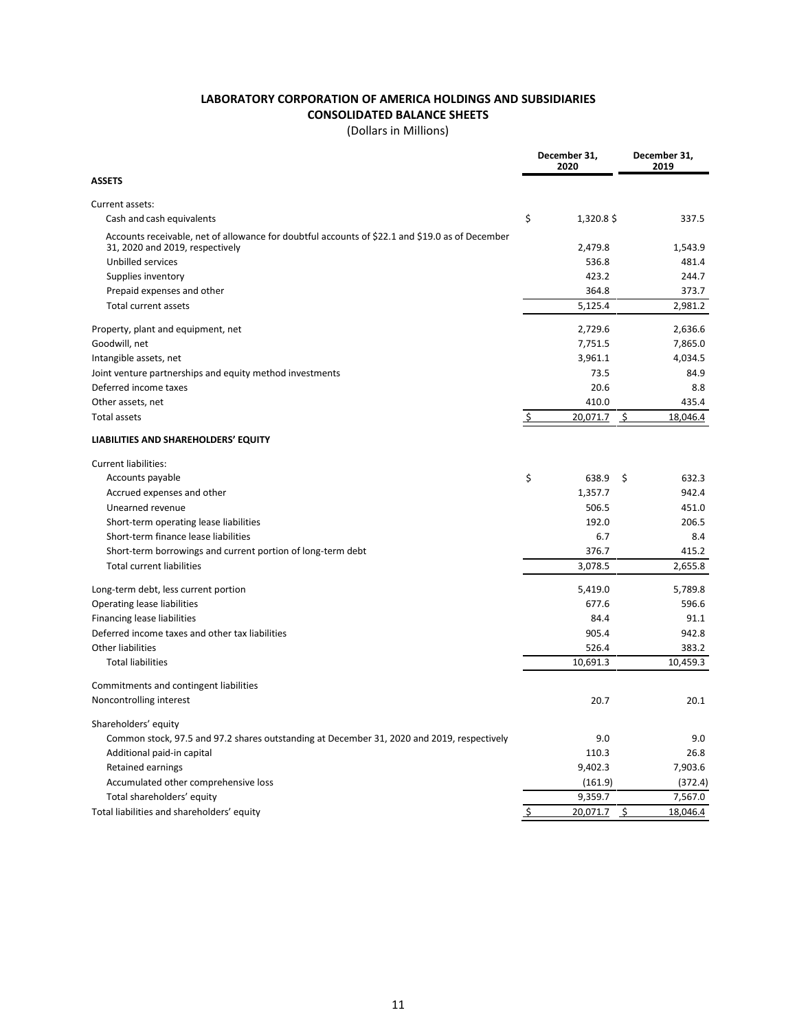# **LABORATORY CORPORATION OF AMERICA HOLDINGS AND SUBSIDIARIES CONSOLIDATED BALANCE SHEETS**

(Dollars in Millions)

|                                                                                                                                    |    | December 31,<br>2020 | December 31,<br>2019 |  |  |
|------------------------------------------------------------------------------------------------------------------------------------|----|----------------------|----------------------|--|--|
| <b>ASSETS</b>                                                                                                                      |    |                      |                      |  |  |
| Current assets:                                                                                                                    |    |                      |                      |  |  |
| Cash and cash equivalents                                                                                                          | \$ | 1,320.8 \$           | 337.5                |  |  |
| Accounts receivable, net of allowance for doubtful accounts of \$22.1 and \$19.0 as of December<br>31, 2020 and 2019, respectively |    | 2,479.8              | 1,543.9              |  |  |
| Unbilled services                                                                                                                  |    | 536.8                | 481.4                |  |  |
| Supplies inventory                                                                                                                 |    | 423.2                | 244.7                |  |  |
| Prepaid expenses and other                                                                                                         |    | 364.8                | 373.7                |  |  |
| <b>Total current assets</b>                                                                                                        |    | 5,125.4              | 2,981.2              |  |  |
| Property, plant and equipment, net                                                                                                 |    | 2,729.6              | 2,636.6              |  |  |
| Goodwill, net                                                                                                                      |    | 7,751.5              | 7,865.0              |  |  |
| Intangible assets, net                                                                                                             |    | 3,961.1              | 4,034.5              |  |  |
| Joint venture partnerships and equity method investments                                                                           |    | 73.5                 | 84.9                 |  |  |
| Deferred income taxes                                                                                                              |    | 20.6                 | 8.8                  |  |  |
| Other assets, net                                                                                                                  |    | 410.0                | 435.4                |  |  |
| Total assets                                                                                                                       | \$ | 20,071.7             | 18,046.4<br>\$       |  |  |
| LIABILITIES AND SHAREHOLDERS' EQUITY                                                                                               |    |                      |                      |  |  |
| Current liabilities:                                                                                                               |    |                      |                      |  |  |
| Accounts payable                                                                                                                   | \$ | 638.9                | \$<br>632.3          |  |  |
| Accrued expenses and other                                                                                                         |    | 1,357.7              | 942.4                |  |  |
| Unearned revenue                                                                                                                   |    | 506.5                | 451.0                |  |  |
| Short-term operating lease liabilities                                                                                             |    | 192.0                | 206.5                |  |  |
| Short-term finance lease liabilities                                                                                               |    | 6.7                  | 8.4                  |  |  |
| Short-term borrowings and current portion of long-term debt                                                                        |    | 376.7                | 415.2                |  |  |
| Total current liabilities                                                                                                          |    | 3,078.5              | 2,655.8              |  |  |
| Long-term debt, less current portion                                                                                               |    | 5,419.0              | 5,789.8              |  |  |
| Operating lease liabilities                                                                                                        |    | 677.6                | 596.6                |  |  |
| Financing lease liabilities                                                                                                        |    | 84.4                 | 91.1                 |  |  |
| Deferred income taxes and other tax liabilities                                                                                    |    | 905.4                | 942.8                |  |  |
| Other liabilities                                                                                                                  |    | 526.4                | 383.2                |  |  |
| <b>Total liabilities</b>                                                                                                           |    | 10,691.3             | 10,459.3             |  |  |
| Commitments and contingent liabilities                                                                                             |    |                      |                      |  |  |
| Noncontrolling interest                                                                                                            |    | 20.7                 | 20.1                 |  |  |
| Shareholders' equity                                                                                                               |    |                      |                      |  |  |
| Common stock, 97.5 and 97.2 shares outstanding at December 31, 2020 and 2019, respectively                                         |    | 9.0                  | 9.0                  |  |  |
| Additional paid-in capital                                                                                                         |    | 110.3                | 26.8                 |  |  |
| Retained earnings                                                                                                                  |    | 9,402.3              | 7,903.6              |  |  |
| Accumulated other comprehensive loss                                                                                               |    | (161.9)              | (372.4)              |  |  |
| Total shareholders' equity                                                                                                         |    | 9,359.7              | 7,567.0              |  |  |
| Total liabilities and shareholders' equity                                                                                         | Ś  | 20,071.7             | \$<br>18,046.4       |  |  |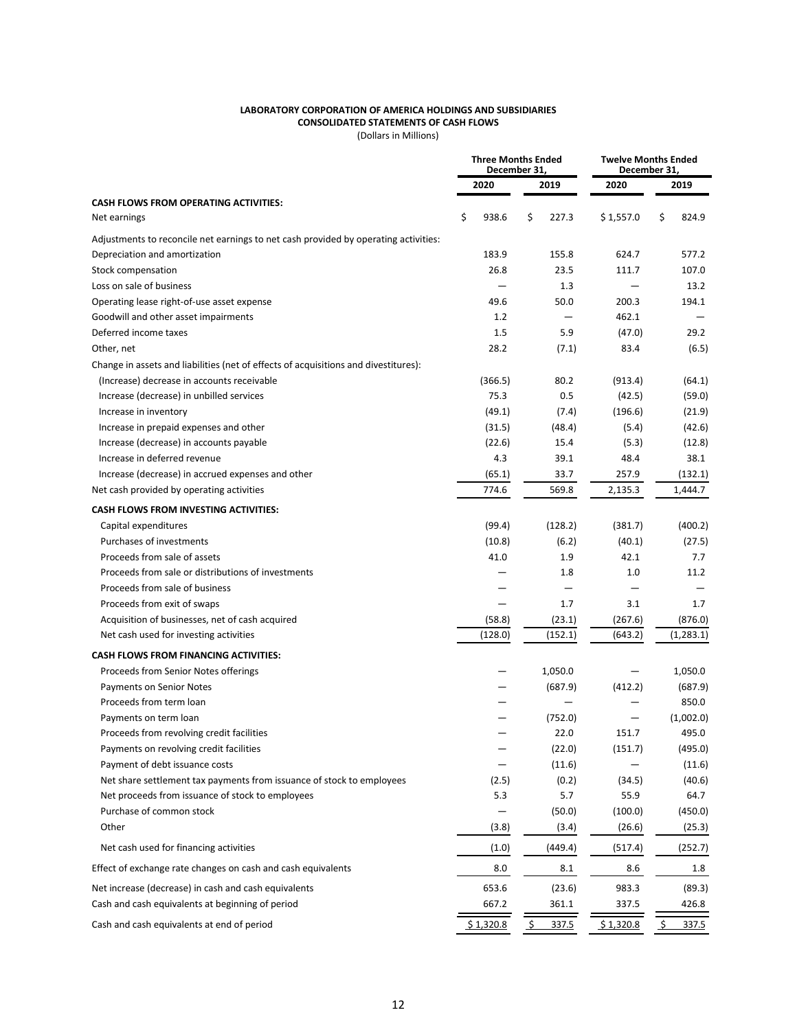#### **LABORATORY CORPORATION OF AMERICA HOLDINGS AND SUBSIDIARIES CONSOLIDATED STATEMENTS OF CASH FLOWS** (Dollars in Millions)

|                                                                                     | <b>Three Months Ended</b><br>December 31 |                        | <b>Twelve Months Ended</b><br>December 31, |                        |  |  |
|-------------------------------------------------------------------------------------|------------------------------------------|------------------------|--------------------------------------------|------------------------|--|--|
|                                                                                     | 2020                                     | 2019                   | 2020                                       | 2019                   |  |  |
| <b>CASH FLOWS FROM OPERATING ACTIVITIES:</b>                                        |                                          |                        |                                            |                        |  |  |
| Net earnings                                                                        | \$<br>938.6                              | \$<br>227.3            | \$1,557.0                                  | \$<br>824.9            |  |  |
| Adjustments to reconcile net earnings to net cash provided by operating activities: |                                          |                        |                                            |                        |  |  |
| Depreciation and amortization                                                       | 183.9                                    | 155.8                  | 624.7                                      | 577.2                  |  |  |
| Stock compensation                                                                  | 26.8                                     | 23.5                   | 111.7                                      | 107.0                  |  |  |
| Loss on sale of business                                                            | —                                        | 1.3                    | -                                          | 13.2                   |  |  |
| Operating lease right-of-use asset expense                                          | 49.6                                     | 50.0                   | 200.3                                      | 194.1                  |  |  |
| Goodwill and other asset impairments                                                | 1.2                                      |                        | 462.1                                      |                        |  |  |
| Deferred income taxes                                                               | 1.5                                      | 5.9                    | (47.0)                                     | 29.2                   |  |  |
| Other, net                                                                          | 28.2                                     | (7.1)                  | 83.4                                       | (6.5)                  |  |  |
| Change in assets and liabilities (net of effects of acquisitions and divestitures): |                                          |                        |                                            |                        |  |  |
| (Increase) decrease in accounts receivable                                          | (366.5)                                  | 80.2                   | (913.4)                                    | (64.1)                 |  |  |
| Increase (decrease) in unbilled services                                            | 75.3                                     | 0.5                    | (42.5)                                     | (59.0)                 |  |  |
| Increase in inventory                                                               | (49.1)                                   | (7.4)                  | (196.6)                                    | (21.9)                 |  |  |
| Increase in prepaid expenses and other                                              | (31.5)                                   | (48.4)                 | (5.4)                                      | (42.6)                 |  |  |
| Increase (decrease) in accounts payable                                             | (22.6)                                   | 15.4                   | (5.3)                                      | (12.8)                 |  |  |
| Increase in deferred revenue                                                        | 4.3                                      | 39.1                   | 48.4                                       | 38.1                   |  |  |
| Increase (decrease) in accrued expenses and other                                   | (65.1)                                   | 33.7                   | 257.9                                      | (132.1)                |  |  |
| Net cash provided by operating activities                                           | 774.6                                    | 569.8                  | 2,135.3                                    | 1,444.7                |  |  |
| <b>CASH FLOWS FROM INVESTING ACTIVITIES:</b>                                        |                                          |                        |                                            |                        |  |  |
| Capital expenditures                                                                | (99.4)                                   | (128.2)                | (381.7)                                    | (400.2)                |  |  |
| Purchases of investments                                                            | (10.8)                                   | (6.2)                  | (40.1)                                     | (27.5)                 |  |  |
| Proceeds from sale of assets                                                        | 41.0                                     | 1.9                    | 42.1                                       | 7.7                    |  |  |
| Proceeds from sale or distributions of investments                                  |                                          | 1.8                    | 1.0                                        | 11.2                   |  |  |
| Proceeds from sale of business                                                      |                                          |                        |                                            |                        |  |  |
| Proceeds from exit of swaps                                                         |                                          | 1.7                    | 3.1                                        | 1.7                    |  |  |
| Acquisition of businesses, net of cash acquired                                     | (58.8)                                   | (23.1)                 | (267.6)                                    | (876.0)                |  |  |
| Net cash used for investing activities                                              | (128.0)                                  | (152.1)                | (643.2)                                    | (1, 283.1)             |  |  |
| <b>CASH FLOWS FROM FINANCING ACTIVITIES:</b>                                        |                                          |                        |                                            |                        |  |  |
| Proceeds from Senior Notes offerings                                                |                                          | 1,050.0                |                                            | 1,050.0                |  |  |
| <b>Payments on Senior Notes</b>                                                     |                                          | (687.9)                | (412.2)                                    | (687.9)                |  |  |
| Proceeds from term loan                                                             |                                          |                        |                                            | 850.0                  |  |  |
| Payments on term loan                                                               |                                          | (752.0)                |                                            | (1,002.0)              |  |  |
| Proceeds from revolving credit facilities                                           |                                          | 22.0                   | 151.7                                      | 495.0                  |  |  |
| Payments on revolving credit facilities                                             |                                          | (22.0)                 | (151.7)                                    | (495.0)                |  |  |
| Payment of debt issuance costs                                                      |                                          | (11.6)                 |                                            | (11.6)                 |  |  |
| Net share settlement tax payments from issuance of stock to employees               | (2.5)                                    | (0.2)                  | (34.5)                                     | (40.6)                 |  |  |
| Net proceeds from issuance of stock to employees                                    | 5.3                                      | 5.7                    | 55.9                                       | 64.7                   |  |  |
| Purchase of common stock                                                            |                                          | (50.0)                 | (100.0)                                    | (450.0)                |  |  |
| Other                                                                               | (3.8)                                    | (3.4)                  | (26.6)                                     | (25.3)                 |  |  |
| Net cash used for financing activities                                              | (1.0)                                    | (449.4)                | (517.4)                                    | (252.7)                |  |  |
| Effect of exchange rate changes on cash and cash equivalents                        | 8.0                                      | 8.1                    | 8.6                                        | 1.8                    |  |  |
| Net increase (decrease) in cash and cash equivalents                                | 653.6                                    | (23.6)                 | 983.3                                      | (89.3)                 |  |  |
| Cash and cash equivalents at beginning of period                                    | 667.2                                    | 361.1                  | 337.5                                      | 426.8                  |  |  |
| Cash and cash equivalents at end of period                                          | \$1,320.8                                | $\frac{1}{2}$<br>337.5 | \$1,320.8                                  | $\frac{1}{2}$<br>337.5 |  |  |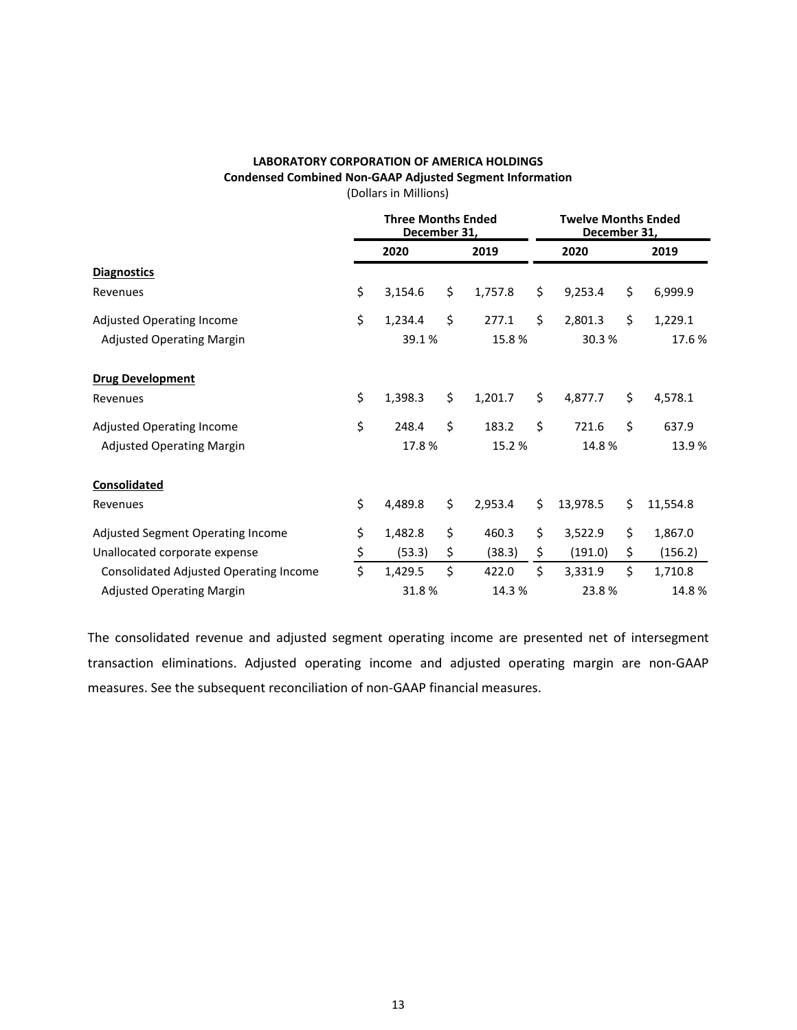## **LABORATORY CORPORATION OF AMERICA HOLDINGS Condensed Combined Non-GAAP Adjusted Segment Information**

(Dollars in Millions)

|                                        |    | <b>Three Months Ended</b><br>December 31, |    |         | <b>Twelve Months Ended</b><br>December 31, |          |    |          |  |
|----------------------------------------|----|-------------------------------------------|----|---------|--------------------------------------------|----------|----|----------|--|
|                                        |    | 2020                                      |    | 2019    |                                            | 2020     |    | 2019     |  |
| <b>Diagnostics</b>                     |    |                                           |    |         |                                            |          |    |          |  |
| Revenues                               | \$ | 3,154.6                                   | \$ | 1,757.8 | \$                                         | 9,253.4  | \$ | 6,999.9  |  |
| <b>Adjusted Operating Income</b>       | \$ | 1,234.4                                   | \$ | 277.1   | \$                                         | 2,801.3  | \$ | 1,229.1  |  |
| <b>Adjusted Operating Margin</b>       |    | 39.1%                                     |    | 15.8%   | 30.3%                                      |          |    | 17.6 %   |  |
| <b>Drug Development</b>                |    |                                           |    |         |                                            |          |    |          |  |
| Revenues                               | \$ | 1,398.3                                   | \$ | 1,201.7 | \$                                         | 4,877.7  | \$ | 4,578.1  |  |
| <b>Adjusted Operating Income</b>       | \$ | 248.4                                     | Ś  | 183.2   | \$                                         | 721.6    | Ś  | 637.9    |  |
| <b>Adjusted Operating Margin</b>       |    | 17.8%                                     |    | 15.2 %  |                                            | 14.8%    |    | 13.9%    |  |
| Consolidated                           |    |                                           |    |         |                                            |          |    |          |  |
| Revenues                               | \$ | 4,489.8                                   | \$ | 2,953.4 | \$                                         | 13,978.5 | \$ | 11,554.8 |  |
| Adjusted Segment Operating Income      | \$ | 1,482.8                                   | \$ | 460.3   | \$                                         | 3,522.9  | \$ | 1,867.0  |  |
| Unallocated corporate expense          | \$ | (53.3)                                    | \$ | (38.3)  | \$                                         | (191.0)  | \$ | (156.2)  |  |
| Consolidated Adjusted Operating Income | \$ | 1,429.5                                   | \$ | 422.0   | \$                                         | 3,331.9  | \$ | 1,710.8  |  |
| <b>Adjusted Operating Margin</b>       |    | 31.8%                                     |    | 14.3%   |                                            | 23.8%    |    | 14.8%    |  |

The consolidated revenue and adjusted segment operating income are presented net of intersegment transaction eliminations. Adjusted operating income and adjusted operating margin are non-GAAP measures. See the subsequent reconciliation of non-GAAP financial measures.